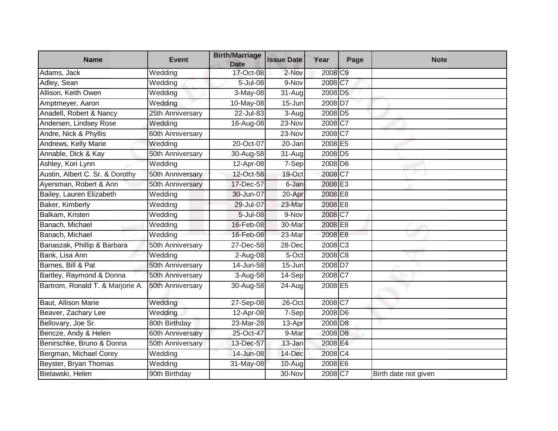| <b>Name</b>                      | <b>Event</b>     | <b>Birth/Marriage</b><br><b>Date</b> | <b>Issue Date</b> | Year                | Page | <b>Note</b>          |
|----------------------------------|------------------|--------------------------------------|-------------------|---------------------|------|----------------------|
| Adams, Jack                      | Wedding          | $17 - Oct-08$                        | 2-Nov             | 2008 C9             |      |                      |
| Adley, Sean                      | Wedding          | 5-Jul-08                             | 9-Nov             | 2008 C7             |      |                      |
| Allison, Keith Owen              | Wedding          | 3-May-08                             | 31-Aug            | 2008 D5             |      |                      |
| Amptmeyer, Aaron                 | Wedding          | 10-May-08                            | $15 - Jun$        | 2008 D7             |      |                      |
| Anadell, Robert & Nancy          | 25th Anniversary | 22-Jul-83                            | 3-Aug             | 2008 D5             |      |                      |
| Andersen, Lindsey Rose           | Wedding          | 16-Aug-08                            | 23-Nov            | 2008 C7             |      |                      |
| Andre, Nick & Phyllis            | 60th Anniversary |                                      | 23-Nov            | 2008 C7             |      |                      |
| Andrews, Kelly Marie             | Wedding          | 20-Oct-07                            | 20-Jan            | 2008 E5             |      |                      |
| Annable, Dick & Kay              | 50th Anniversary | 30-Aug-58                            | 31-Aug            | 2008 D5             |      |                      |
| Ashley, Kori Lynn                | Wedding          | 12-Apr-08                            | 7-Sep             | 2008 D6             |      |                      |
| Austin, Albert C. Sr. & Dorothy  | 50th Anniversary | 12-Oct-58                            | 19-Oct            | 2008 C7             |      |                      |
| Ayersman, Robert & Ann           | 50th Anniversary | 17-Dec-57                            | 6-Jan             | 2008 E3             |      |                      |
| Bailey, Lauren Elizabeth         | Wedding          | 30-Jun-07                            | 20-Apr            | 2008 E8             |      |                      |
| Baker, Kimberly                  | Wedding          | 29-Jul-07                            | 23-Mar            | 2008 E8             |      |                      |
| Balkam, Kristen                  | Wedding          | 5-Jul-08                             | 9-Nov             | 2008 C7             |      |                      |
| Banach, Michael                  | Wedding          | 16-Feb-08                            | 30-Mar            | 2008 E8             |      |                      |
| Banach, Michael                  | Wedding          | 16-Feb-08                            | 23-Mar            | 2008 E8             |      |                      |
| Banaszak, Phillip & Barbara      | 50th Anniversary | 27-Dec-58                            | 28-Dec            | 2008 C <sub>3</sub> |      |                      |
| Bank, Lisa Ann                   | Wedding          | 2-Aug-08                             | 5-Oct             | 2008 C8             |      |                      |
| Barnes, Bill & Pat               | 50th Anniversary | $14 - Jun-58$                        | $15 - Jun$        | 2008 D7             |      |                      |
| Bartley, Raymond & Donna         | 50th Anniversary | 3-Aug-58                             | 14-Sep            | 2008 C7             |      |                      |
| Bartrom, Ronald T. & Marjorie A. | 50th Anniversary | 30-Aug-58                            | 24-Aug            | 2008 E5             |      |                      |
| Baut, Allison Marie              | Wedding          | 27-Sep-08                            | 26-Oct            | 2008 C7             |      |                      |
| Beaver, Zachary Lee              | Wedding          | 12-Apr-08                            | 7-Sep             | 2008 D6             |      |                      |
| Bellovary, Joe Sr.               | 80th Birthday    | 23-Mar-28                            | 13-Apr            | 2008 D <sub>8</sub> |      |                      |
| Bencze, Andy & Helen             | 60th Anniversary | 25-Oct-47                            | 9-Mar             | 2008 D <sub>8</sub> |      |                      |
| Benirschke, Bruno & Donna        | 50th Anniversary | 13-Dec-57                            | 13-Jan            | 2008 E4             |      |                      |
| Bergman, Michael Corey           | Wedding          | 14-Jun-08                            | 14-Dec            | 2008 C4             |      |                      |
| Beyster, Bryan Thomas            | Wedding          | 31-May-08                            | 10-Aug            | 2008 E6             |      |                      |
| Bielawski, Helen                 | 90th Birthday    |                                      | 30-Nov            | 2008 C7             |      | Birth date not given |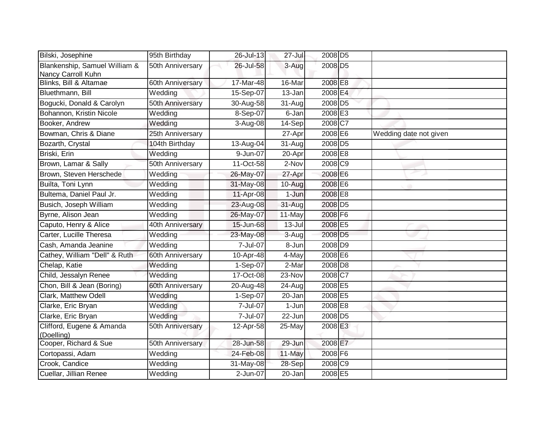| Bilski, Josephine                                   | 95th Birthday    | 26-Jul-13 | $27 -$ Jul          | 2008 D5               |                        |
|-----------------------------------------------------|------------------|-----------|---------------------|-----------------------|------------------------|
| Blankenship, Samuel William &<br>Nancy Carroll Kuhn | 50th Anniversary | 26-Jul-58 | 3-Aug               | 2008 D <sub>5</sub>   |                        |
| Blinks, Bill & Altamae                              | 60th Anniversary | 17-Mar-48 | 16-Mar              | 2008 E8               |                        |
| Bluethmann, Bill                                    | Wedding          | 15-Sep-07 | 13-Jan              | 2008 E4               |                        |
| Bogucki, Donald & Carolyn                           | 50th Anniversary | 30-Aug-58 | 31-Aug              | 2008 D5               |                        |
| Bohannon, Kristin Nicole                            | Wedding          | 8-Sep-07  | 6-Jan               | 2008E3                |                        |
| Booker, Andrew                                      | Wedding          | 3-Aug-08  | 14-Sep              | 2008 C7               |                        |
| Bowman, Chris & Diane                               | 25th Anniversary |           | 27-Apr              | 2008 E6               | Wedding date not given |
| Bozarth, Crystal                                    | 104th Birthday   | 13-Aug-04 | 31-Aug              | 2008 D <sub>5</sub>   |                        |
| Briski, Erin                                        | Wedding          | 9-Jun-07  | 20-Apr              | 2008 E8               |                        |
| Brown, Lamar & Sally                                | 50th Anniversary | 11-Oct-58 | 2-Nov               | 2008 C9               |                        |
| Brown, Steven Herschede                             | Wedding          | 26-May-07 | 27-Apr              | 2008 E6               |                        |
| Builta, Toni Lynn                                   | Wedding          | 31-May-08 | 10-Aug              | 2008 E6               |                        |
| Bultema, Daniel Paul Jr.                            | Wedding          | 11-Apr-08 | 1-Jun               | 2008 E8               |                        |
| Busich, Joseph William                              | Wedding          | 23-Aug-08 | 31-Aug              | 2008 D <sub>5</sub>   |                        |
| Byrne, Alison Jean                                  | Wedding          | 26-May-07 | 11-May              | 2008 F6               |                        |
| Caputo, Henry & Alice                               | 40th Anniversary | 15-Jun-68 | $13 -$ Jul          | 2008 E5               |                        |
| Carter, Lucille Theresa                             | Wedding          | 23-May-08 | 3-Aug               | 2008 D <sub>5</sub>   |                        |
| Cash, Amanda Jeanine                                | Wedding          | 7-Jul-07  | 8-Jun               | 2008 D9               |                        |
| Cathey, William "Dell" & Ruth                       | 60th Anniversary | 10-Apr-48 | $\overline{4}$ -May | 2008 E6               |                        |
| Chelap, Katie                                       | Wedding          | 1-Sep-07  | 2-Mar               | 2008 D <sub>8</sub>   |                        |
| Child, Jessalyn Renee                               | Wedding          | 17-Oct-08 | 23-Nov              | 2008 C7               |                        |
| Chon, Bill & Jean (Boring)                          | 60th Anniversary | 20-Aug-48 | 24-Aug              | 2008 E5               |                        |
| Clark, Matthew Odell                                | Wedding          | 1-Sep-07  | 20-Jan              | 2008 E5               |                        |
| Clarke, Eric Bryan                                  | Wedding          | 7-Jul-07  | 1-Jun               | 2008 E8               |                        |
| Clarke, Eric Bryan                                  | Wedding          | 7-Jul-07  | 22-Jun              | 2008 D5               |                        |
| Clifford, Eugene & Amanda<br>(Doelling)             | 50th Anniversary | 12-Apr-58 | 25-May              | 2008 E3               |                        |
| Cooper, Richard & Sue                               | 50th Anniversary | 28-Jun-58 | 29-Jun              | 2008 E7               |                        |
| Cortopassi, Adam                                    | Wedding          | 24-Feb-08 | 11-May              | 2008 F6               |                        |
| Crook, Candice                                      | Wedding          | 31-May-08 | 28-Sep              | $2008$ C <sub>9</sub> |                        |
| Cuellar, Jillian Renee                              | Wedding          | 2-Jun-07  | 20-Jan              | 2008 E5               |                        |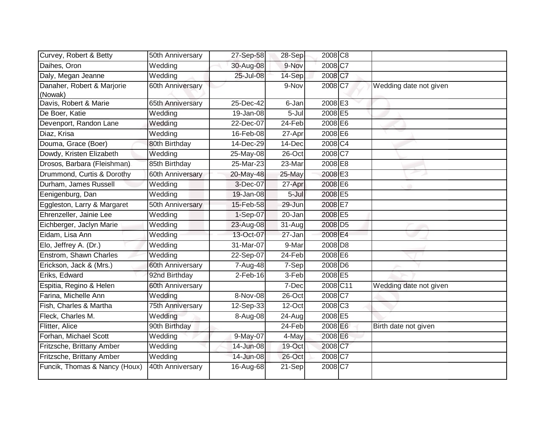| Curvey, Robert & Betty                | 50th Anniversary | 27-Sep-58               | $28-Sep$ | 2008 C8               |                        |
|---------------------------------------|------------------|-------------------------|----------|-----------------------|------------------------|
| Daihes, Oron                          | Wedding          | 30-Aug-08               | 9-Nov    | 2008 C7               |                        |
| Daly, Megan Jeanne                    | Wedding          | 25-Jul-08               | 14-Sep   | 2008 C7               |                        |
| Danaher, Robert & Marjorie<br>(Nowak) | 60th Anniversary |                         | 9-Nov    | 2008 C7               | Wedding date not given |
| Davis, Robert & Marie                 | 65th Anniversary | 25-Dec-42               | 6-Jan    | 2008E3                |                        |
| De Boer, Katie                        | Wedding          | 19-Jan-08               | 5-Jul    | 2008 E5               |                        |
| Devenport, Randon Lane                | Wedding          | 22-Dec-07               | 24-Feb   | 2008 E6               |                        |
| Diaz, Krisa                           | Wedding          | 16-Feb-08               | 27-Apr   | 2008 E6               |                        |
| Douma, Grace (Boer)                   | 80th Birthday    | 14-Dec-29               | 14-Dec   | $2008$ C <sub>4</sub> |                        |
| Dowdy, Kristen Elizabeth              | Wedding          | 25-May-08               | 26-Oct   | 2008 C7               |                        |
| Drosos, Barbara (Fleishman)           | 85th Birthday    | 25-Mar-23               | 23-Mar   | 2008 E8               |                        |
| Drummond, Curtis & Dorothy            | 60th Anniversary | 20-May-48               | 25-May   | 2008 E3               |                        |
| Durham, James Russell                 | Wedding          | 3-Dec-07                | 27-Apr   | 2008 E6               |                        |
| Eenigenburg, Dan                      | Wedding          | 19-Jan-08               | $5$ -Jul | 2008 E5               |                        |
| Eggleston, Larry & Margaret           | 50th Anniversary | 15-Feb-58               | 29-Jun   | 2008 E7               |                        |
| Ehrenzeller, Jainie Lee               | Wedding          | 1-Sep-07                | 20-Jan   | 2008 E5               |                        |
| Eichberger, Jaclyn Marie              | Wedding          | 23-Aug-08               | 31-Aug   | 2008 D5               |                        |
| Eidam, Lisa Ann                       | Wedding          | 13-Oct-07               | 27-Jan   | 2008 E4               |                        |
| Elo, Jeffrey A. (Dr.)                 | Wedding          | 31-Mar-07               | 9-Mar    | 2008 D <sub>8</sub>   |                        |
| Enstrom, Shawn Charles                | Wedding          | 22-Sep-07               | 24-Feb   | 2008 E6               |                        |
| Erickson, Jack & (Mrs.)               | 60th Anniversary | 7-Aug-48                | 7-Sep    | 2008 D6               |                        |
| Eriks, Edward                         | 92nd Birthday    | $2-Feb-16$              | 3-Feb    | 2008 E5               |                        |
| Espitia, Regino & Helen               | 60th Anniversary |                         | 7-Dec    | 2008 C11              | Wedding date not given |
| Farina, Michelle Ann                  | Wedding          | 8-Nov-08                | 26-Oct   | 2008 C7               |                        |
| Fish, Charles & Martha                | 75th Anniversary | $\overline{12}$ -Sep-33 | 12-Oct   | 2008 C <sub>3</sub>   |                        |
| Fleck, Charles M.                     | Wedding          | 8-Aug-08                | 24-Aug   | 2008 E5               |                        |
| Flitter, Alice                        | 90th Birthday    |                         | 24-Feb   | 2008 E6               | Birth date not given   |
| Forhan, Michael Scott                 | Wedding          | 9-May-07                | 4-May    | 2008 E6               |                        |
| Fritzsche, Brittany Amber             | Wedding          | 14-Jun-08               | 19-Oct   | 2008 C7               |                        |
| Fritzsche, Brittany Amber             | Wedding          | 14-Jun-08               | 26-Oct   | 2008 C7               |                        |
| Funcik, Thomas & Nancy (Houx)         | 40th Anniversary | 16-Aug-68               | 21-Sep   | 2008 C7               |                        |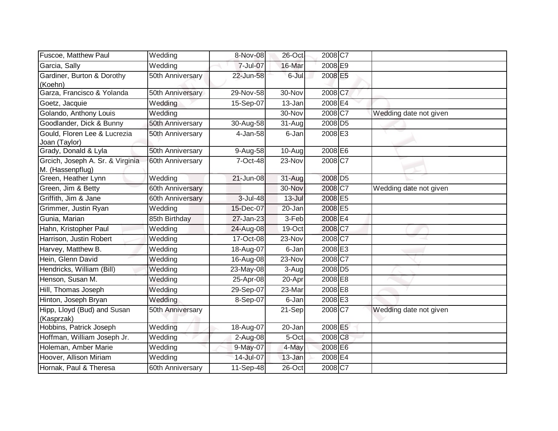| Fuscoe, Matthew Paul                                 | Wedding          | 8-Nov-08     | 26-Oct               | 2008 C7             |                        |
|------------------------------------------------------|------------------|--------------|----------------------|---------------------|------------------------|
| Garcia, Sally                                        | Wedding          | 7-Jul-07     | 16-Mar               | 2008 E9             |                        |
| Gardiner, Burton & Dorothy<br>(Koehn)                | 50th Anniversary | 22-Jun-58    | 6-Jul                | 2008 E5             |                        |
| Garza, Francisco & Yolanda                           | 50th Anniversary | 29-Nov-58    | 30-Nov               | 2008 C7             |                        |
| Goetz, Jacquie                                       | Wedding          | 15-Sep-07    | 13-Jan               | 2008 E4             |                        |
| Golando, Anthony Louis                               | Wedding          |              | 30-Nov               | 2008 C7             | Wedding date not given |
| Goodlander, Dick & Bunny                             | 50th Anniversary | 30-Aug-58    | $\overline{3}$ 1-Aug | 2008 D <sub>5</sub> |                        |
| Gould, Floren Lee & Lucrezia<br>Joan (Taylor)        | 50th Anniversary | 4-Jan-58     | $6$ -Jan             | 2008 E3             |                        |
| Grady, Donald & Lyla                                 | 50th Anniversary | 9-Aug-58     | $10-Aug$             | 2008 E6             |                        |
| Grcich, Joseph A. Sr. & Virginia<br>M. (Hassenpflug) | 60th Anniversary | 7-Oct-48     | 23-Nov               | 2008 C7             |                        |
| Green, Heather Lynn                                  | Wedding          | 21-Jun-08    | 31-Aug               | 2008 D <sub>5</sub> |                        |
| Green, Jim & Betty                                   | 60th Anniversary |              | 30-Nov               | 2008 C7             | Wedding date not given |
| Griffith, Jim & Jane                                 | 60th Anniversary | 3-Jul-48     | $13 -$ Jul           | 2008 E5             |                        |
| Grimmer, Justin Ryan                                 | Wedding          | 15-Dec-07    | 20-Jan               | 2008 E5             |                        |
| Gunia, Marian                                        | 85th Birthday    | 27-Jan-23    | 3-Feb                | 2008 E4             |                        |
| Hahn, Kristopher Paul                                | Wedding          | 24-Aug-08    | 19-Oct               | 2008 C7             |                        |
| Harrison, Justin Robert                              | Wedding          | 17-Oct-08    | 23-Nov               | 2008 C7             |                        |
| Harvey, Matthew B.                                   | Wedding          | 18-Aug-07    | 6-Jan                | 2008 E3             |                        |
| Hein, Glenn David                                    | Wedding          | 16-Aug-08    | 23-Nov               | 2008 C7             |                        |
| Hendricks, William (Bill)                            | Wedding          | 23-May-08    | 3-Aug                | 2008 D <sub>5</sub> |                        |
| Henson, Susan M.                                     | Wedding          | 25-Apr-08    | 20-Apr               | 2008 E8             |                        |
| Hill, Thomas Joseph                                  | Wedding          | 29-Sep-07    | 23-Mar               | 2008 E8             |                        |
| Hinton, Joseph Bryan                                 | Wedding          | 8-Sep-07     | 6-Jan                | 2008 E3             |                        |
| Hipp, Lloyd (Bud) and Susan<br>(Kasprzak)            | 50th Anniversary |              | $21-Sep$             | 2008 C7             | Wedding date not given |
| Hobbins, Patrick Joseph                              | Wedding          | 18-Aug-07    | 20-Jan               | 2008 E5             |                        |
| Hoffman, William Joseph Jr.                          | Wedding          | 2-Aug-08     | 5-Oct                | 2008 C8             |                        |
| Holeman, Amber Marie                                 | Wedding          | 9-May-07     | 4-May                | 2008 E6             |                        |
| Hoover, Allison Miriam                               | Wedding          | $14$ -Jul-07 | 13-Jan               | 2008 E4             |                        |
| Hornak, Paul & Theresa                               | 60th Anniversary | 11-Sep-48    | 26-Oct               | 2008 C7             |                        |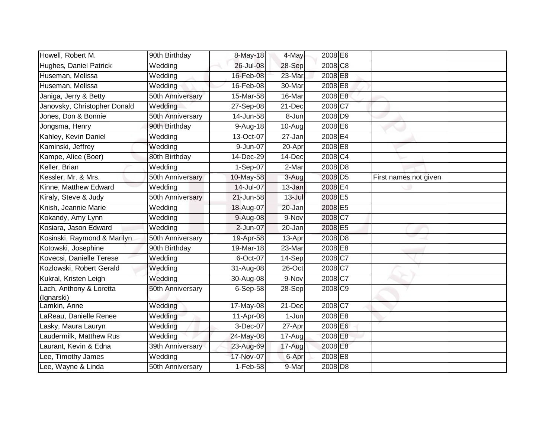| Howell, Robert M.                     | 90th Birthday    | 8-May-18    | 4-May      | 2008 E6             |                       |
|---------------------------------------|------------------|-------------|------------|---------------------|-----------------------|
| Hughes, Daniel Patrick                | Wedding          | 26-Jul-08   | 28-Sep     | 2008 C <sub>8</sub> |                       |
| Huseman, Melissa                      | Wedding          | 16-Feb-08   | 23-Mar     | 2008 E8             |                       |
| Huseman, Melissa                      | Wedding          | 16-Feb-08   | 30-Mar     | 2008 E8             |                       |
| Janiga, Jerry & Betty                 | 50th Anniversary | $15-Mar-58$ | 16-Mar     | 2008 E8             |                       |
| Janovsky, Christopher Donald          | Wedding          | 27-Sep-08   | 21-Dec     | 2008 C7             |                       |
| Jones, Don & Bonnie                   | 50th Anniversary | 14-Jun-58   | 8-Jun      | 2008 D9             |                       |
| Jongsma, Henry                        | 90th Birthday    | 9-Aug-18    | 10-Aug     | 2008 E6             |                       |
| Kahley, Kevin Daniel                  | Wedding          | 13-Oct-07   | 27-Jan     | 2008 <b>E4</b>      |                       |
| Kaminski, Jeffrey                     | Wedding          | 9-Jun-07    | 20-Apr     | 2008 E8             |                       |
| Kampe, Alice (Boer)                   | 80th Birthday    | 14-Dec-29   | 14-Dec     | 2008 C4             |                       |
| Keller, Brian                         | Wedding          | 1-Sep-07    | 2-Mar      | 2008 D8             |                       |
| Kessler, Mr. & Mrs.                   | 50th Anniversary | 10-May-58   | 3-Aug      | 2008 D <sub>5</sub> | First names not given |
| Kinne, Matthew Edward                 | Wedding          | 14-Jul-07   | $13 - Jan$ | 2008 E4             |                       |
| Kiraly, Steve & Judy                  | 50th Anniversary | 21-Jun-58   | $13 -$ Jul | 2008 E5             |                       |
| Knish, Jeannie Marie                  | Wedding          | 18-Aug-07   | 20-Jan     | 2008 E5             |                       |
| Kokandy, Amy Lynn                     | Wedding          | 9-Aug-08    | 9-Nov      | 2008 C7             |                       |
| Kosiara, Jason Edward                 | Wedding          | 2-Jun-07    | 20-Jan     | 2008 E5             |                       |
| Kosinski, Raymond & Marilyn           | 50th Anniversary | 19-Apr-58   | 13-Apr     | 2008 D <sub>8</sub> |                       |
| Kotowski, Josephine                   | 90th Birthday    | 19-Mar-18   | 23-Mar     | 2008 E8             |                       |
| Kovecsi, Danielle Terese              | Wedding          | 6-Oct-07    | 14-Sep     | 2008 C7             |                       |
| Kozlowski, Robert Gerald              | Wedding          | 31-Aug-08   | $26$ -Oct  | 2008 C7             |                       |
| Kukral, Kristen Leigh                 | Wedding          | 30-Aug-08   | 9-Nov      | 2008 C7             |                       |
| Lach, Anthony & Loretta<br>(Ignarski) | 50th Anniversary | $6-Sep-58$  | 28-Sep     | 2008 C9             |                       |
| Lamkin, Anne                          | Wedding          | 17-May-08   | 21-Dec     | 2008 C7             |                       |
| LaReau, Danielle Renee                | Wedding          | 11-Apr-08   | $1-Jun$    | 2008 E8             |                       |
| Lasky, Maura Lauryn                   | Wedding          | $3-Dec-07$  | 27-Apr     | 2008 E6             |                       |
| Laudermilk, Matthew Rus               | Wedding          | 24-May-08   | 17-Aug     | 2008 E8             |                       |
| Laurant, Kevin & Edna                 | 39th Anniversary | 23-Aug-69   | 17-Aug     | 2008 E8             |                       |
| Lee, Timothy James                    | Wedding          | 17-Nov-07   | 6-Apr      | 2008 E8             |                       |
| Lee, Wayne & Linda                    | 50th Anniversary | $1-Feb-58$  | 9-Mar      | 2008 D <sub>8</sub> |                       |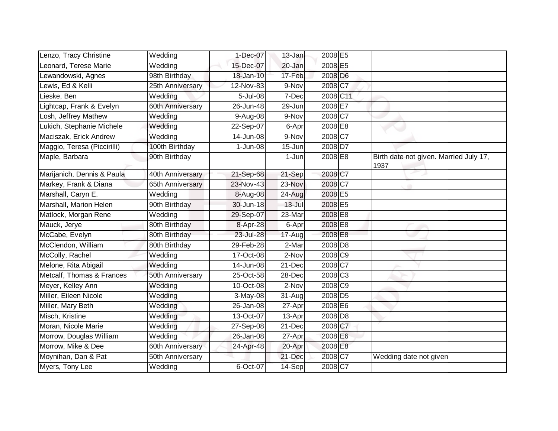| Lenzo, Tracy Christine      | Wedding          | 1-Dec-07   | 13-Jan               | 2008 E5               |                                                |
|-----------------------------|------------------|------------|----------------------|-----------------------|------------------------------------------------|
| Leonard, Terese Marie       | Wedding          | 15-Dec-07  | 20-Jan               | 2008 E5               |                                                |
| Lewandowski, Agnes          | 98th Birthday    | 18-Jan-10  | 17-Feb               | 2008 D6               |                                                |
| Lewis, Ed & Kelli           | 25th Anniversary | 12-Nov-83  | 9-Nov                | 2008 C7               |                                                |
| Lieske, Ben                 | Wedding          | 5-Jul-08   | 7-Dec                | 2008 C11              |                                                |
| Lightcap, Frank & Evelyn    | 60th Anniversary | 26-Jun-48  | 29-Jun               | 2008 E7               |                                                |
| Losh, Jeffrey Mathew        | Wedding          | 9-Aug-08   | 9-Nov                | 2008C7                |                                                |
| Lukich, Stephanie Michele   | Wedding          | 22-Sep-07  | 6-Apr                | 2008 E8               |                                                |
| Maciszak, Erick Andrew      | Wedding          | 14-Jun-08  | 9-Nov                | 2008 C7               |                                                |
| Maggio, Teresa (Piccirilli) | 100th Birthday   | $1-Jun-08$ | 15-Jun               | 2008 D7               |                                                |
| Maple, Barbara              | 90th Birthday    |            | 1-Jun                | 2008 E8               | Birth date not given. Married July 17,<br>1937 |
| Marijanich, Dennis & Paula  | 40th Anniversary | 21-Sep-68  | 21-Sep               | 2008 C7               |                                                |
| Markey, Frank & Diana       | 65th Anniversary | 23-Nov-43  | 23-Nov               | 2008 C7               |                                                |
| Marshall, Caryn E.          | Wedding          | 8-Aug-08   | 24-Aug               | 2008 E5               |                                                |
| Marshall, Marion Helen      | 90th Birthday    | 30-Jun-18  | $13 -$ Jul           | 2008 E5               |                                                |
| Matlock, Morgan Rene        | Wedding          | 29-Sep-07  | 23-Mar               | 2008 E8               |                                                |
| Mauck, Jerye                | 80th Birthday    | 8-Apr-28   | 6-Apr                | 2008 E8               |                                                |
| McCabe, Evelyn              | 80th Birthday    | 23-Jul-28  | 17-Aug               | 2008 E8               |                                                |
| McClendon, William          | 80th Birthday    | 29-Feb-28  | 2-Mar                | 2008 D8               |                                                |
| McColly, Rachel             | Wedding          | 17-Oct-08  | 2-Nov                | 2008 C9               |                                                |
| Melone, Rita Abigail        | Wedding          | 14-Jun-08  | 21-Dec               | 2008 C7               |                                                |
| Metcalf, Thomas & Frances   | 50th Anniversary | 25-Oct-58  | 28-Dec               | 2008 C <sub>3</sub>   |                                                |
| Meyer, Kelley Ann           | Wedding          | 10-Oct-08  | 2-Nov                | $2008$ C <sub>9</sub> |                                                |
| Miller, Eileen Nicole       | Wedding          | 3-May-08   | 31-Aug               | 2008 D <sub>5</sub>   |                                                |
| Miller, Mary Beth           | Wedding          | 26-Jan-08  | 27-Apr               | 2008 E6               |                                                |
| Misch, Kristine             | Wedding          | 13-Oct-07  | 13-Apr               | 2008 D <sub>8</sub>   |                                                |
| Moran, Nicole Marie         | Wedding          | 27-Sep-08  | $\overline{21}$ -Dec | 2008 C7               |                                                |
| Morrow, Douglas William     | Wedding          | 26-Jan-08  | 27-Apr               | 2008 E6               |                                                |
| Morrow, Mike & Dee          | 60th Anniversary | 24-Apr-48  | 20-Apr               | 2008 E8               |                                                |
| Moynihan, Dan & Pat         | 50th Anniversary |            | 21-Dec               | 2008 C7               | Wedding date not given                         |
| Myers, Tony Lee             | Wedding          | 6-Oct-07   | 14-Sep               | $2008$ C7             |                                                |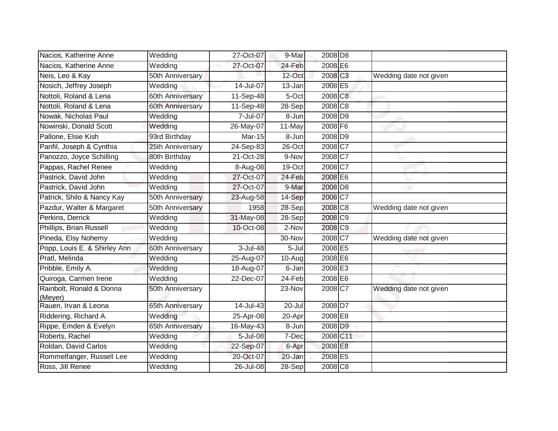| Nacios, Katherine Anne              | Wedding          | 27-Oct-07  | 9-Mar                | 2008 D <sub>8</sub>   |                        |
|-------------------------------------|------------------|------------|----------------------|-----------------------|------------------------|
| Nacios, Katherine Anne              | Wedding          | 27-Oct-07  | 24-Feb               | 2008 E6               |                        |
| Neis, Leo & Kay                     | 50th Anniversary |            | 12-Oct               | 2008 C <sub>3</sub>   | Wedding date not given |
| Nosich, Jeffrey Joseph              | Wedding          | 14-Jul-07  | 13-Jan               | 2008 E5               |                        |
| Nottoli, Roland & Lena              | 60th Anniversary | 11-Sep-48  | 5-Oct                | 2008 C8               |                        |
| Nottoli, Roland & Lena              | 60th Anniversary | 11-Sep-48  | 28-Sep               | $2008$ C <sub>8</sub> |                        |
| Nowak, Nicholas Paul                | Wedding          | 7-Jul-07   | 8-Jun                | 2008 D9               |                        |
| Nowinski, Donald Scott              | Wedding          | 26-May-07  | 11-May               | 2008 F6               |                        |
| Pallone, Elsie Kish                 | 93rd Birthday    | Mar-15     | 8-Jun                | 2008 D9               |                        |
| Panfil, Joseph & Cynthia            | 25th Anniversary | 24-Sep-83  | $26$ -Oct            | 2008 C7               |                        |
| Panozzo, Joyce Schilling            | 80th Birthday    | 21-Oct-28  | 9-Nov                | $2008$ C7             |                        |
| Pappas, Rachel Renee                | Wedding          | 8-Aug-08   | 19-Oct               | 2008 C7               |                        |
| Pastrick, David John                | Wedding          | 27-Oct-07  | 24-Feb               | 2008 E6               |                        |
| Pastrick, David John                | Wedding          | 27-Oct-07  | 9-Mar                | 2008 D8               |                        |
| Patrick, Shilo & Nancy Kay          | 50th Anniversary | 23-Aug-58  | 14-Sep               | 2008 C7               |                        |
| Pazdur, Walter & Margaret           | 50th Anniversary | 1958       | 28-Sep               | 2008 C8               | Wedding date not given |
| Perkins, Derrick                    | Wedding          | 31-May-08  | 28-Sep               | 2008 C9               |                        |
| Phillips, Brian Russell             | Wedding          | 10-Oct-08  | 2-Nov                | 2008 C9               |                        |
| Pineda, Elsy Nohemy                 | Wedding          |            | 30-Nov               | 2008 C7               | Wedding date not given |
| Popp, Louis E. & Shirley Ann        | 60th Anniversary | $3-Jul-48$ | 5-Jul                | 2008 E5               |                        |
| Pratl, Melinda                      | Wedding          | 25-Aug-07  | 10-Aug               | 2008 E6               |                        |
| Pribble, Emily A.                   | Wedding          | 18-Aug-07  | 6-Jan                | 2008 E3               |                        |
| Quiroga, Carmen Irene               | Wedding          | 22-Dec-07  | 24-Feb               | 2008 E6               |                        |
| Rainbolt, Ronald & Donna<br>(Meyer) | 50th Anniversary |            | 23-Nov               | $2008$ C <sub>7</sub> | Wedding date not given |
| Rauen, Irvan & Leona                | 65th Anniversary | 14-Jul-43  | $\overline{2}0$ -Jul | 2008 D7               |                        |
| Riddering, Richard A.               | Wedding          | 25-Apr-08  | 20-Apr               | 2008 E8               |                        |
| Rippe, Emden & Evelyn               | 65th Anniversary | 16-May-43  | $\overline{8}$ -Jun  | 2008 D9               |                        |
| Roberts, Rachel                     | Wedding          | 5-Jul-08   | 7-Dec                | 2008 C11              |                        |
| Roldan, David Carlos                | Wedding          | 22-Sep-07  | 6-Apr                | 2008 E8               |                        |
| Rommelfanger, Russell Lee           | Wedding          | 20-Oct-07  | 20-Jan               | 2008 E5               |                        |
| Ross, Jill Renee                    | Wedding          | 26-Jul-08  | 28-Sep               | 2008 C8               |                        |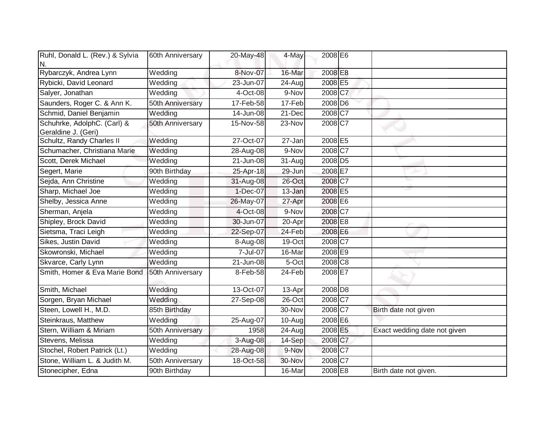| Ruhl, Donald L. (Rev.) & Sylvia<br>N.              | 60th Anniversary | 20-May-48    | 4-May                | 2008 E6               |                              |
|----------------------------------------------------|------------------|--------------|----------------------|-----------------------|------------------------------|
| Rybarczyk, Andrea Lynn                             | Wedding          | 8-Nov-07     | 16-Mar               | 2008 E8               |                              |
| Rybicki, David Leonard                             | Wedding          | 23-Jun-07    | $24 - Aug$           | 2008 E5               |                              |
| Salyer, Jonathan                                   | Wedding          | 4-Oct-08     | 9-Nov                | 2008 C7               |                              |
| Saunders, Roger C. & Ann K.                        | 50th Anniversary | 17-Feb-58    | 17-Feb               | $2008$ D <sub>6</sub> |                              |
| Schmid, Daniel Benjamin                            | Wedding          | 14-Jun-08    | 21-Dec               | 2008 C7               |                              |
| Schuhrke, AdolphC. (Carl) &<br>Geraldine J. (Geri) | 50th Anniversary | 15-Nov-58    | 23-Nov               | 2008 C7               |                              |
| Schultz, Randy Charles II                          | Wedding          | 27-Oct-07    | 27-Jan               | 2008 E5               |                              |
| Schumacher, Christiana Marie                       | Wedding          | 28-Aug-08    | 9-Nov                | 2008 C7               |                              |
| Scott, Derek Michael                               | Wedding          | 21-Jun-08    | 31-Aug               | 2008 D <sub>5</sub>   |                              |
| Segert, Marie                                      | 90th Birthday    | 25-Apr-18    | 29-Jun               | 2008 E7               |                              |
| Sejda, Ann Christine                               | Wedding          | 31-Aug-08    | 26-Oct               | 2008 C7               |                              |
| Sharp, Michael Joe                                 | Wedding          | 1-Dec-07     | 13-Jan               | 2008 E5               |                              |
| Shelby, Jessica Anne                               | Wedding          | 26-May-07    | 27-Apr               | 2008 E6               |                              |
| Sherman, Anjela                                    | Wedding          | 4-Oct-08     | 9-Nov                | 2008 C7               |                              |
| Shipley, Brock David                               | Wedding          | 30-Jun-07    | 20-Apr               | 2008 E8               |                              |
| Sietsma, Traci Leigh                               | Wedding          | 22-Sep-07    | 24-Feb               | 2008 E6               |                              |
| Sikes, Justin David                                | Wedding          | 8-Aug-08     | 19-Oct               | 2008 C7               |                              |
| Skowronski, Michael                                | Wedding          | 7-Jul-07     | 16-Mar               | 2008 E9               |                              |
| Skvarce, Carly Lynn                                | Wedding          | 21-Jun-08    | 5-Oct                | 2008 C <sub>8</sub>   |                              |
| Smith, Homer & Eva Marie Bond                      | 50th Anniversary | 8-Feb-58     | 24-Feb               | 2008 E7               |                              |
| Smith, Michael                                     | Wedding          | 13-Oct-07    | 13-Apr               | 2008 D <sub>8</sub>   |                              |
| Sorgen, Bryan Michael                              | Wedding          | $27-$ Sep-08 | 26-Oct               | 2008 C7               |                              |
| Steen, Lowell H., M.D.                             | 85th Birthday    |              | 30-Nov               | 2008 C7               | Birth date not given         |
| Steinkraus, Matthew                                | Wedding          | 25-Aug-07    | $\overline{10}$ -Aug | 2008 E6               |                              |
| Stern, William & Miriam                            | 50th Anniversary | 1958         | 24-Aug               | 2008 E5               | Exact wedding date not given |
| Stevens, Melissa                                   | Wedding          | 3-Aug-08     | 14-Sep               | 2008 C7               |                              |
| Stochel, Robert Patrick (Lt.)                      | Wedding          | 28-Aug-08    | 9-Nov                | 2008 C7               |                              |
| Stone, William L. & Judith M.                      | 50th Anniversary | 18-Oct-58    | 30-Nov               | 2008 C7               |                              |
| Stonecipher, Edna                                  | 90th Birthday    |              | 16-Mar               | 2008 E8               | Birth date not given.        |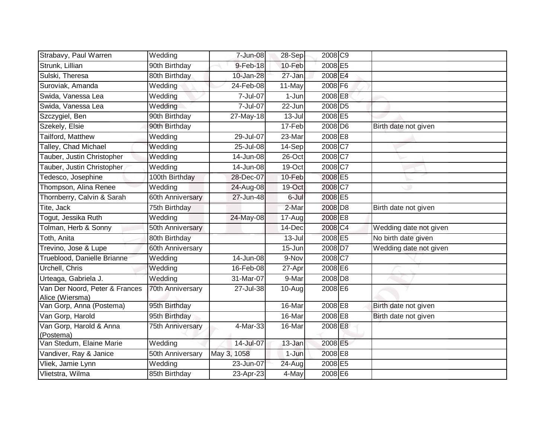| Strabavy, Paul Warren                             | Wedding               | 7-Jun-08     | 28-Sep     | 2008 C9             |                        |
|---------------------------------------------------|-----------------------|--------------|------------|---------------------|------------------------|
| Strunk, Lillian                                   | 90th Birthday         | 9-Feb-18     | 10-Feb     | 2008 E5             |                        |
| Sulski, Theresa                                   | 80th Birthday         | 10-Jan-28    | 27-Jan     | 2008 E4             |                        |
| Suroviak, Amanda                                  | Wedding               | 24-Feb-08    | 11-May     | 2008 F6             |                        |
| Swida, Vanessa Lea                                | $\overline{W}$ edding | 7-Jul-07     | 1-Jun      | 2008 E8             |                        |
| Swida, Vanessa Lea                                | Wedding               | 7-Jul-07     | 22-Jun     | 2008 D <sub>5</sub> |                        |
| Szczygiel, Ben                                    | 90th Birthday         | 27-May-18    | $13 -$ Jul | 2008 E5             |                        |
| Szekely, Elsie                                    | 90th Birthday         |              | 17-Feb     | 2008 D6             | Birth date not given   |
| Tailford, Matthew                                 | Wedding               | 29-Jul-07    | 23-Mar     | 2008 E8             |                        |
| Talley, Chad Michael                              | Wedding               | 25-Jul-08    | 14-Sep     | 2008 C7             |                        |
| Tauber, Justin Christopher                        | Wedding               | 14-Jun-08    | 26-Oct     | 2008 C7             |                        |
| Tauber, Justin Christopher                        | Wedding               | 14-Jun-08    | 19-Oct     | 2008 C7             |                        |
| Tedesco, Josephine                                | 100th Birthday        | 28-Dec-07    | 10-Feb     | 2008 E5             |                        |
| Thompson, Alina Renee                             | Wedding               | 24-Aug-08    | 19-Oct     | 2008 C7             |                        |
| Thornberry, Calvin & Sarah                        | 60th Anniversary      | 27-Jun-48    | 6-Jul      | 2008 E5             |                        |
| Tite, Jack                                        | 75th Birthday         |              | 2-Mar      | 2008 D8             | Birth date not given   |
| Togut, Jessika Ruth                               | Wedding               | $24$ -May-08 | 17-Aug     | 2008 E8             |                        |
| Tolman, Herb & Sonny                              | 50th Anniversary      |              | 14-Dec     | 2008 C4             | Wedding date not given |
| Toth, Anita                                       | 80th Birthday         |              | $13 -$ Jul | 2008 E5             | No birth date given    |
| Trevino, Jose & Lupe                              | 60th Anniversary      |              | 15-Jun     | 2008 D7             | Wedding date not given |
| Trueblood, Danielle Brianne                       | Wedding               | 14-Jun-08    | 9-Nov      | 2008 C7             |                        |
| Urchell, Chris                                    | Wedding               | 16-Feb-08    | 27-Apr     | 2008 E6             |                        |
| Urteaga, Gabriela J.                              | Wedding               | 31-Mar-07    | 9-Mar      | 2008 D8             |                        |
| Van Der Noord, Peter & Frances<br>Alice (Wiersma) | 70th Anniversary      | 27-Jul-38    | 10-Augl    | 2008 E6             |                        |
| Van Gorp, Anna (Postema)                          | 95th Birthday         |              | 16-Mar     | 2008 E8             | Birth date not given   |
| Van Gorp, Harold                                  | 95th Birthday         |              | 16-Mar     | 2008 E8             | Birth date not given   |
| Van Gorp, Harold & Anna<br>(Postema)              | 75th Anniversary      | 4-Mar-33     | 16-Mar     | 2008 E8             |                        |
| Van Stedum, Elaine Marie                          | Wedding               | 14-Jul-07    | 13-Jan     | 2008 E5             |                        |
| Vandiver, Ray & Janice                            | 50th Anniversary      | May 3, 1058  | $1-Jun$    | 2008 E8             |                        |
| Vliek, Jamie Lynn                                 | Wedding               | 23-Jun-07    | 24-Aug     | 2008 E5             |                        |
| Vlietstra, Wilma                                  | 85th Birthday         | 23-Apr-23    | 4-May      | 2008 E6             |                        |